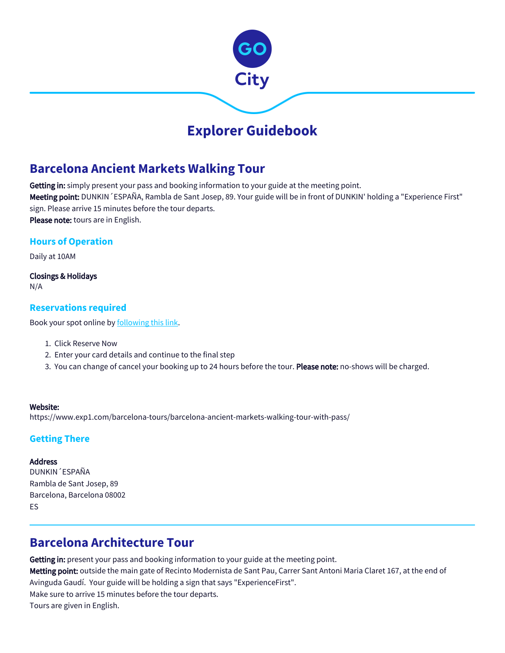

# **Explorer Guidebook**

# **Barcelona Ancient Markets Walking Tour**

Getting in: simply present your pass and booking information to your guide at the meeting point. Meeting point: DUNKIN 'ESPAÑA, Rambla de Sant Josep, 89. Your guide will be in front of DUNKIN' holding a "Experience First" sign. Please arrive 15 minutes before the tour departs. Please note: tours are in English.

## **Hours of Operation**

Daily at 10AM

Closings & Holidays N/A

### **Reservations required**

Book your spot online by **following this link**.

- 1. Click Reserve Now
- 2. Enter your card details and continue to the final step
- 3. You can change of cancel your booking up to 24 hours before the tour. **Please note:** no-shows will be charged.

#### Website:

https://www.exp1.com/barcelona-tours/barcelona-ancient-markets-walking-tour-with-pass/

## **Getting There**

#### Address

DUNKIN´ESPAÑA Rambla de Sant Josep, 89 Barcelona, Barcelona 08002 ES

# **Barcelona Architecture Tour**

Getting in: present your pass and booking information to your guide at the meeting point.

Metting point: outside the main gate of Recinto Modernista de Sant Pau, Carrer Sant Antoni Maria Claret 167, at the end of Avinguda Gaudí. Your guide will be holding a sign that says "ExperienceFirst". Make sure to arrive 15 minutes before the tour departs. Tours are given in English.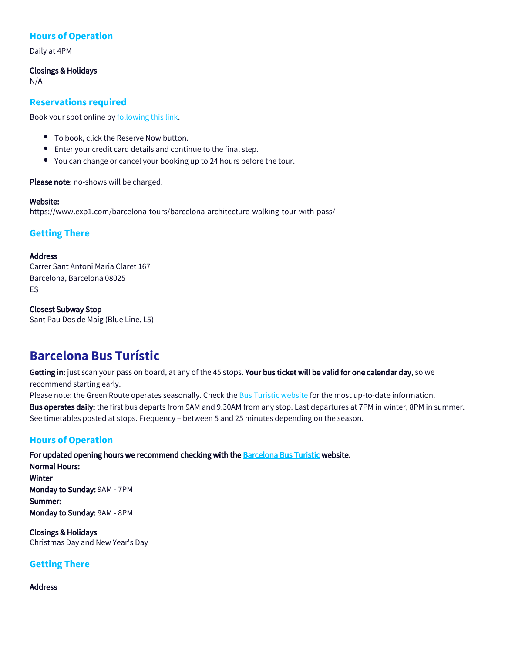## **Hours of Operation**

Daily at 4PM

#### Closings & Holidays

N/A

### **Reservations required**

Book your spot online by [following this link.](https://www.exp1.com/barcelona-tours/barcelona-architecture-walking-tour-with-pass/)

- To book, click the Reserve Now button.
- Enter your credit card details and continue to the final step.
- You can change or cancel your booking up to 24 hours before the tour.

Please note: no-shows will be charged.

#### Website:

https://www.exp1.com/barcelona-tours/barcelona-architecture-walking-tour-with-pass/

## **Getting There**

#### Address

Carrer Sant Antoni Maria Claret 167 Barcelona, Barcelona 08025 ES

#### Closest Subway Stop

Sant Pau Dos de Maig (Blue Line, L5)

# **Barcelona Bus Turístic**

Getting in: just scan your pass on board, at any of the 45 stops. Your bus ticket will be valid for one calendar day, so we recommend starting early.

Please note: the Green Route operates seasonally. Check the [Bus Turistic website](https://www.barcelonabusturistic.cat/en/green-route) for the most up-to-date information.

Bus operates daily: the first bus departs from 9AM and 9.30AM from any stop. Last departures at 7PM in winter, 8PM in summer. See timetables posted at stops. Frequency – between 5 and 25 minutes depending on the season.

## **Hours of Operation**

For updated opening hours we recommend checking with the [Barcelona Bus Turistic](https://www.barcelonabusturistic.cat/en) website. Normal Hours: Winter Monday to Sunday: 9AM - 7PM Summer: Monday to Sunday: 9AM - 8PM

Closings & Holidays Christmas Day and New Year's Day

## **Getting There**

#### Address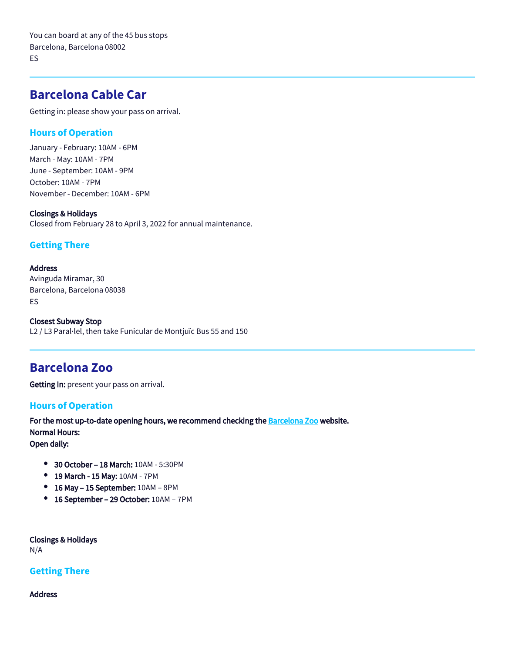You can board at any of the 45 bus stops Barcelona, Barcelona 08002 ES

# **Barcelona Cable Car**

Getting in: please show your pass on arrival.

### **Hours of Operation**

January - February: 10AM - 6PM March - May: 10AM - 7PM June - September: 10AM - 9PM October: 10AM - 7PM November - December: 10AM - 6PM

#### Closings & Holidays

Closed from February 28 to April 3, 2022 for annual maintenance.

### **Getting There**

#### **Address**

Avinguda Miramar, 30 Barcelona, Barcelona 08038 ES

Closest Subway Stop L2 / L3 Paral·lel, then take Funicular de Montjuïc Bus 55 and 150

# **Barcelona Zoo**

Getting In: present your pass on arrival.

#### **Hours of Operation**

For the most up-to-date opening hours, we recommend checking the **Barcelona Zoo** website. Normal Hours: Open daily:

- 30 October 18 March: 10AM 5:30PM
- 19 March 15 May: 10AM 7PM
- 16 May 15 September: 10AM 8PM
- 16 September 29 October: 10AM 7PM

Closings & Holidays N/A

### **Getting There**

Address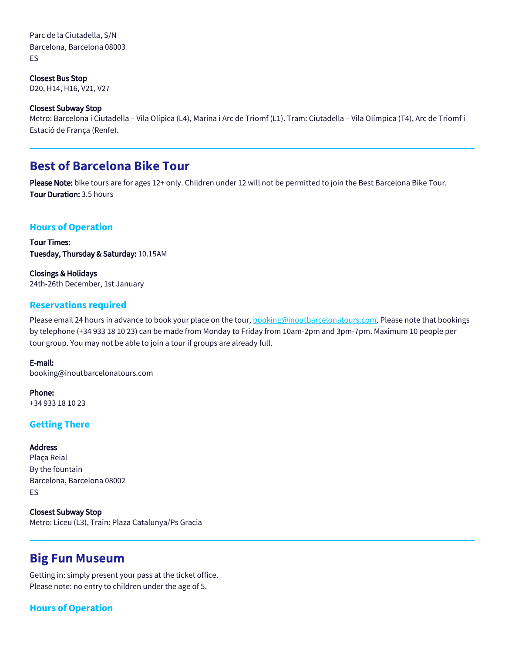Parc de la Ciutadella, S/N Barcelona, Barcelona 08003 ES

Closest Bus Stop D20, H14, H16, V21, V27

#### Closest Subway Stop

Metro: Barcelona i Ciutadella – Vila Olípica (L4), Marina i Arc de Triomf (L1). Tram: Ciutadella – Vila Olímpica (T4), Arc de Triomf i Estació de França (Renfe).

# **Best of Barcelona Bike Tour**

Please Note: bike tours are for ages 12+ only. Children under 12 will not be permitted to join the Best Barcelona Bike Tour. Tour Duration: 3.5 hours

#### **Hours of Operation**

Tour Times: Tuesday, Thursday & Saturday: 10.15AM

Closings & Holidays 24th-26th December, 1st January

### **Reservations required**

Please email 24 hours in advance to book your place on the tour, **booking@inoutbarcelonatours.com**. Please note that bookings by telephone (+34 933 18 10 23) can be made from Monday to Friday from 10am-2pm and 3pm-7pm. Maximum 10 people per tour group. You may not be able to join a tour if groups are already full.

#### E-mail:

booking@inoutbarcelonatours.com

Phone: +34 933 18 10 23

#### **Getting There**

#### Address

Plaça Reial By the fountain Barcelona, Barcelona 08002 ES

Closest Subway Stop Metro: Liceu (L3), Train: Plaza Catalunya/Ps Gracia

## **Big Fun Museum**

Getting in: simply present your pass at the ticket office. Please note: no entry to children under the age of 5.

## **Hours of Operation**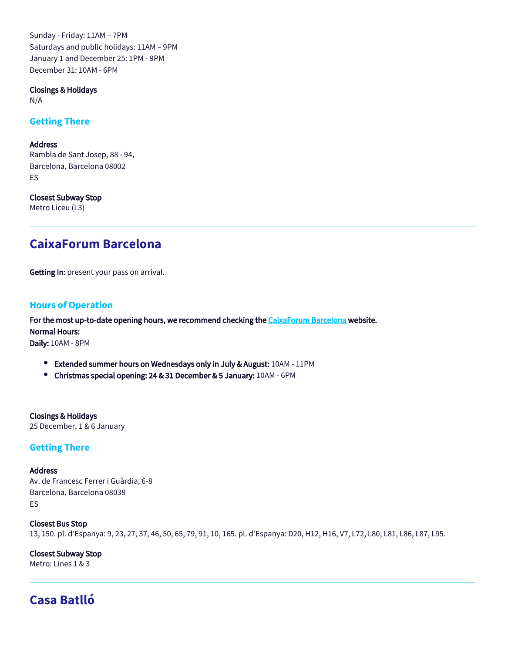Sunday - Friday: 11AM – 7PM Saturdays and public holidays: 11AM – 9PM January 1 and December 25: 1PM - 9PM December 31: 10AM - 6PM

Closings & Holidays

N/A

### **Getting There**

#### Address

Rambla de Sant Josep, 88 - 94, Barcelona, Barcelona 08002 ES

Closest Subway Stop Metro Liceu (L3)

# **CaixaForum Barcelona**

Getting In: present your pass on arrival.

### **Hours of Operation**

For the most up-to-date opening hours, we recommend checking the [CaixaForum Barcelona](https://caixaforum.es/ca/barcelona/visitanos) website.

Normal Hours:

Daily: 10AM - 8PM

- **Extended summer hours on Wednesdays only in July & August: 10AM 11PM**
- Christmas special opening: 24 & 31 December & 5 January: 10AM 6PM

Closings & Holidays 25 December, 1 & 6 January

### **Getting There**

#### **Address**

Av. de Francesc Ferrer i Guàrdia, 6-8 Barcelona, Barcelona 08038 ES

Closest Bus Stop 13, 150. pl. d'Espanya: 9, 23, 27, 37, 46, 50, 65, 79, 91, 10, 165. pl. d'Espanya: D20, H12, H16, V7, L72, L80, L81, L86, L87, L95.

Closest Subway Stop Metro: Lines 1 & 3

# **Casa Batlló**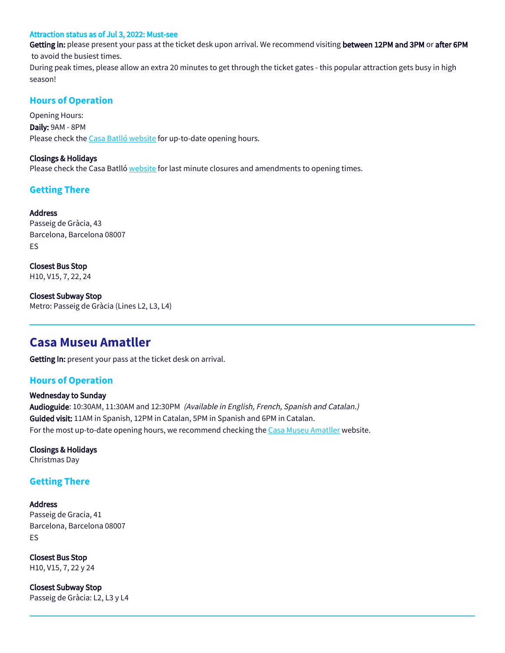#### Attraction status as of Jul 3, 2022: Must-see

Getting in: please present your pass at the ticket desk upon arrival. We recommend visiting between 12PM and 3PM or after 6PM to avoid the busiest times.

During peak times, please allow an extra 20 minutes to get through the ticket gates - this popular attraction gets busy in high season!

### **Hours of Operation**

Opening Hours: Daily: 9AM - 8PM Please check the [Casa Batlló website](https://www.casabatllo.es/en/visit/) for up-to-date opening hours.

#### Closings & Holidays

Please check the Casa Batlló [website](http://www.casabatllo.es/) for last minute closures and amendments to opening times.

## **Getting There**

### Address

Passeig de Gràcia, 43 Barcelona, Barcelona 08007 ES

Closest Bus Stop H10, V15, 7, 22, 24

Closest Subway Stop Metro: Passeig de Gràcia (Lines L2, L3, L4)

## **Casa Museu Amatller**

Getting In: present your pass at the ticket desk on arrival.

### **Hours of Operation**

## Wednesday to Sunday Audioguide: 10:30AM, 11:30AM and 12:30PM (Available in English, French, Spanish and Catalan.) Guided visit: 11AM in Spanish, 12PM in Catalan, 5PM in Spanish and 6PM in Catalan. For the most up-to-date opening hours, we recommend checking the [Casa Museu Amatller](https://amatller.org/en/) website.

Closings & Holidays Christmas Day

### **Getting There**

#### Address Passeig de Gracia, 41 Barcelona, Barcelona 08007 ES

Closest Bus Stop H10, V15, 7, 22 y 24

Closest Subway Stop Passeig de Gràcia: L2, L3 y L4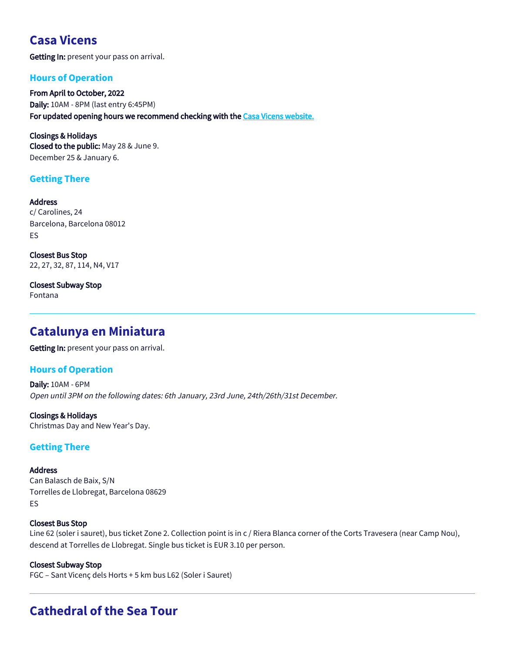# **Casa Vicens**

Getting In: present your pass on arrival.

## **Hours of Operation**

From April to October, 2022 Daily: 10AM - 8PM (last entry 6:45PM) For updated opening hours we recommend checking with the [Casa Vicens website](https://casavicens.org/)[.](https://www.fcbarcelona.com/en/tickets/camp-nou-experience/timetable)

Closings & Holidays Closed to the public: May 28 & June 9. December 25 & January 6.

## **Getting There**

Address c/ Carolines, 24 Barcelona, Barcelona 08012 ES

Closest Bus Stop 22, 27, 32, 87, 114, N4, V17

Closest Subway Stop Fontana

# **Catalunya en Miniatura**

Getting In: present your pass on arrival.

## **Hours of Operation**

Daily: 10AM - 6PM Open until 3PM on the following dates: 6th January, 23rd June, 24th/26th/31st December.

Closings & Holidays Christmas Day and New Year's Day.

## **Getting There**

**Address** Can Balasch de Baix, S/N Torrelles de Llobregat, Barcelona 08629 ES

#### Closest Bus Stop

Line 62 (soler i sauret), bus ticket Zone 2. Collection point is in c / Riera Blanca corner of the Corts Travesera (near Camp Nou), descend at Torrelles de Llobregat. Single bus ticket is EUR 3.10 per person.

Closest Subway Stop FGC – Sant Vicenç dels Horts + 5 km bus L62 (Soler i Sauret)

# **Cathedral of the Sea Tour**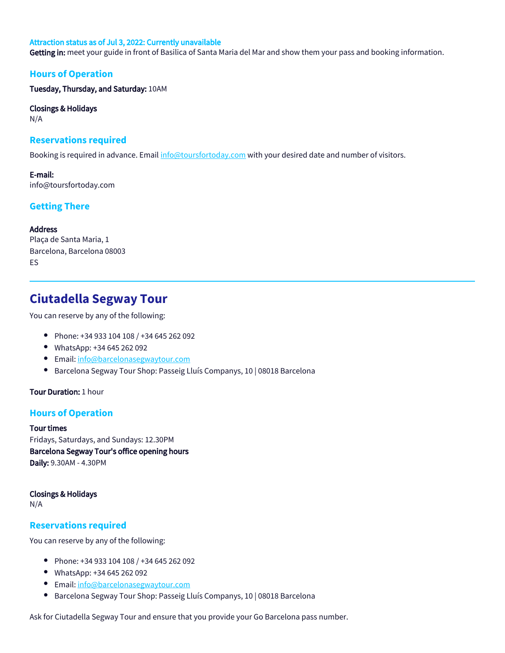#### Attraction status as of Jul 3, 2022: Currently unavailable

Getting in: meet your guide in front of Basilica of Santa Maria del Mar and show them your pass and booking information.

#### **Hours of Operation**

Tuesday, Thursday, and Saturday: 10AM

Closings & Holidays

N/A

#### **Reservations required**

Booking is required in advance. Email [info@toursfortoday.com](mailto:info@toursfortoday.com) with your desired date and number of visitors.

E-mail: info@toursfortoday.com

## **Getting There**

#### Address

Plaça de Santa Maria, 1 Barcelona, Barcelona 08003 ES

# **Ciutadella Segway Tour**

You can reserve by any of the following:

- Phone: +34 933 104 108 / +34 645 262 092
- WhatsApp: +34 645 262 092
- Email: [info@barcelonasegwaytour.com](mailto:info@barcelonasegwaytour.com)
- Barcelona Segway Tour Shop: Passeig Lluís Companys, 10 | 08018 Barcelona  $\bullet$

#### Tour Duration: 1 hour

### **Hours of Operation**

#### Tour times

Fridays, Saturdays, and Sundays: 12.30PM Barcelona Segway Tour's office opening hours Daily: 9.30AM - 4.30PM

Closings & Holidays

N/A

#### **Reservations required**

You can reserve by any of the following:

- Phone: +34 933 104 108 / +34 645 262 092
- WhatsApp: +34 645 262 092
- **Email:** [info@barcelonasegwaytour.com](mailto:info@barcelonasegwaytour.com)
- $\bullet$ Barcelona Segway Tour Shop: Passeig Lluís Companys, 10 | 08018 Barcelona

Ask for Ciutadella Segway Tour and ensure that you provide your Go Barcelona pass number.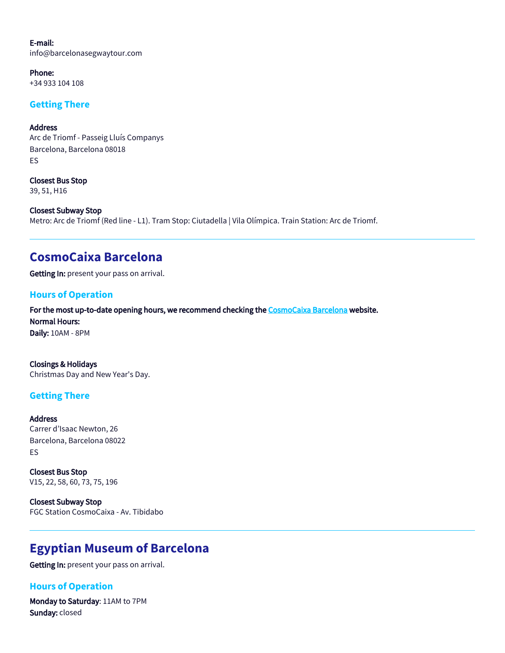E-mail: info@barcelonasegwaytour.com

Phone: +34 933 104 108

## **Getting There**

**Address** Arc de Triomf - Passeig Lluís Companys Barcelona, Barcelona 08018 ES

Closest Bus Stop 39, 51, H16

Closest Subway Stop Metro: Arc de Triomf (Red line - L1). Tram Stop: Ciutadella | Vila Olímpica. Train Station: Arc de Triomf.

# **CosmoCaixa Barcelona**

Getting In: present your pass on arrival.

## **Hours of Operation**

For the most up-to-date opening hours, we recommend checking the [CosmoCaixa Barcelona](https://cosmocaixa.es/es/visitanos) website. Normal Hours: Daily: 10AM - 8PM

Closings & Holidays Christmas Day and New Year's Day.

### **Getting There**

Address Carrer d'Isaac Newton, 26 Barcelona, Barcelona 08022 ES

Closest Bus Stop V15, 22, 58, 60, 73, 75, 196

Closest Subway Stop FGC Station CosmoCaixa - Av. Tibidabo

# **Egyptian Museum of Barcelona**

Getting In: present your pass on arrival.

## **Hours of Operation**

Monday to Saturday: 11AM to 7PM Sunday: closed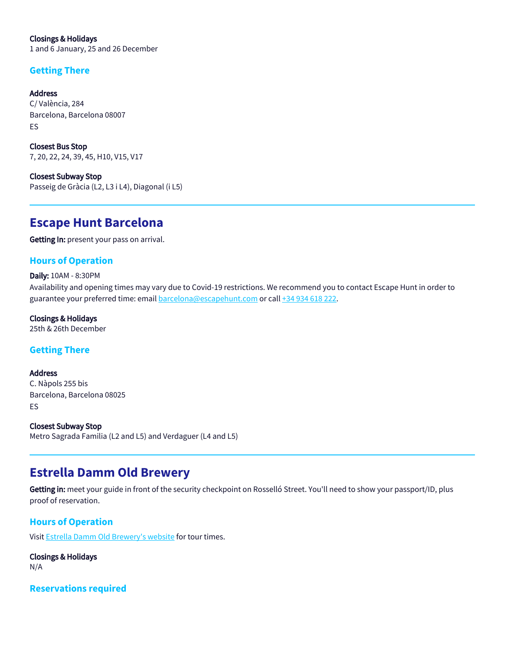Closings & Holidays 1 and 6 January, 25 and 26 December

## **Getting There**

Address C/ València, 284 Barcelona, Barcelona 08007 ES

Closest Bus Stop 7, 20, 22, 24, 39, 45, H10, V15, V17

Closest Subway Stop Passeig de Gràcia (L2, L3 i L4), Diagonal (i L5)

# **Escape Hunt Barcelona**

Getting In: present your pass on arrival.

## **Hours of Operation**

#### Daily: 10AM - 8:30PM

Availability and opening times may vary due to Covid-19 restrictions. We recommend you to contact Escape Hunt in order to guarantee your preferred time: email<barcelona@escapehunt.com>or call [+34 934 618 222](0034934618222).

#### Closings & Holidays

25th & 26th December

## **Getting There**

Address C. Nàpols 255 bis Barcelona, Barcelona 08025 ES

Closest Subway Stop Metro Sagrada Familia (L2 and L5) and Verdaguer (L4 and L5)

# **Estrella Damm Old Brewery**

Getting in: meet your guide in front of the security checkpoint on Rosselló Street. You'll need to show your passport/ID, plus proof of reservation.

## **Hours of Operation**

Visit [Estrella Damm Old Brewery's website](https://visitas.estrelladamm.com/en#Home) for tour times.

Closings & Holidays N/A

**Reservations required**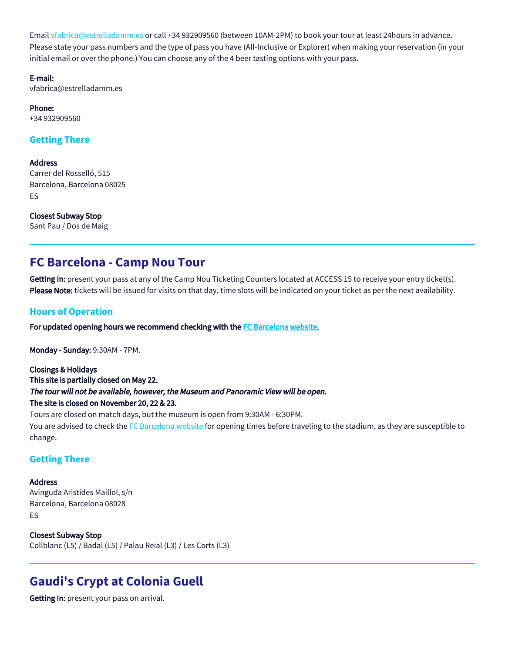Email [vfabrica@estrelladamm.es](mailto:vfabrica@estrelladamm.es) or call +34 932909560 (between 10AM-2PM) to book your tour at least 24hours in advance. Please state your pass numbers and the type of pass you have (All-Inclusive or Explorer) when making your reservation (in your initial email or over the phone.) You can choose any of the 4 beer tasting options with your pass.

E-mail:

vfabrica@estrelladamm.es

Phone: +34 932909560

## **Getting There**

**Address** 

Carrer del Rosselló, 515 Barcelona, Barcelona 08025 ES

Closest Subway Stop Sant Pau / Dos de Maig

# **FC Barcelona - Camp Nou Tour**

Getting In: present your pass at any of the Camp Nou Ticketing Counters located at ACCESS 15 to receive your entry ticket(s). Please Note: tickets will be issued for visits on that day, time slots will be indicated on your ticket as per the next availability.

### **Hours of Operation**

For updated opening hours we recommend checking with the [FC Barcelona website.](https://www.fcbarcelona.com/en/tickets/camp-nou-experience/timetable)

Monday - Sunday: 9:30AM - 7PM.

Closings & Holidays This site is partially closed on May 22. The tour will not be available, however, the Museum and Panoramic View will be open. The site is closed on November 20, 22 & 23.

Tours are closed on match days, but the museum is open from 9:30AM - 6:30PM. You are advised to check the [FC Barcelona website](http://www.fcbarcelona.com/) for opening times before traveling to the stadium, as they are susceptible to change.

### **Getting There**

Address Avinguda Aristides Maillol, s/n Barcelona, Barcelona 08028 ES

Closest Subway Stop Collblanc (L5) / Badal (L5) / Palau Reial (L3) / Les Corts (L3)

# **Gaudi's Crypt at Colonia Guell**

Getting In: present your pass on arrival.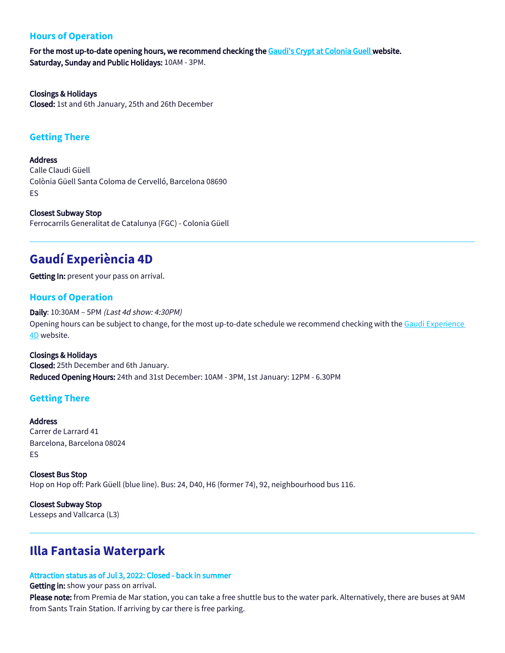## **Hours of Operation**

For the most up-to-date opening hours, we recommend checking the [Gaudi's Crypt at Colonia Guell w](http://gaudicoloniaguell.org/en/)ebsite. Saturday, Sunday and Public Holidays: 10AM - 3PM.

Closings & Holidays Closed: 1st and 6th January, 25th and 26th December

#### **Getting There**

**Address** 

Calle Claudi Güell Colònia Güell Santa Coloma de Cervelló, Barcelona 08690 ES

Closest Subway Stop Ferrocarrils Generalitat de Catalunya (FGC) - Colonia Güell

# **Gaudí Experiència 4D**

Getting In: present your pass on arrival.

### **Hours of Operation**

Daily: 10:30AM – 5PM (Last 4d show: 4:30PM) Opening hours can be subject to change, for the most up-to-date schedule we recommend checking with the [Gaudi Experience](https://www.gaudiexperiencia.com/en/visit/)  [4D](https://www.gaudiexperiencia.com/en/visit/) website.

Closings & Holidays Closed: 25th December and 6th January. Reduced Opening Hours: 24th and 31st December: 10AM - 3PM, 1st January: 12PM - 6.30PM

### **Getting There**

Address

Carrer de Larrard 41 Barcelona, Barcelona 08024 ES

Closest Bus Stop Hop on Hop off: Park Güell (blue line). Bus: 24, D40, H6 (former 74), 92, neighbourhood bus 116.

Closest Subway Stop Lesseps and Vallcarca (L3)

# **Illa Fantasia Waterpark**

#### Attraction status as of Jul 3, 2022: Closed - back in summer

Getting in: show your pass on arrival.

Please note: from Premia de Mar station, you can take a free shuttle bus to the water park. Alternatively, there are buses at 9AM from Sants Train Station. If arriving by car there is free parking.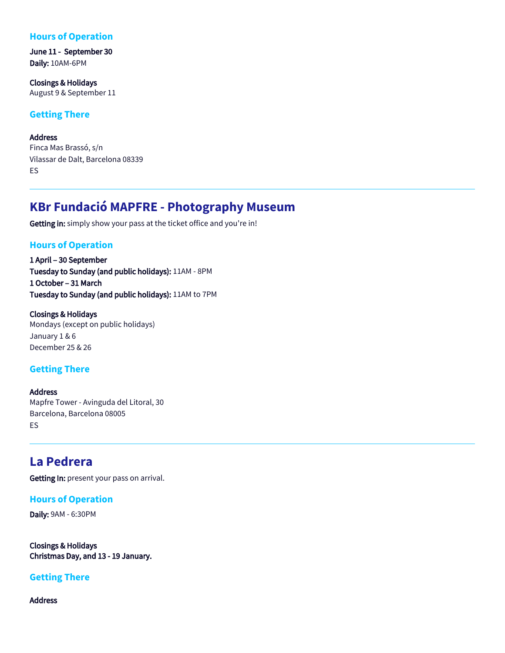## **Hours of Operation**

June 11 - September 30 Daily: 10AM-6PM

Closings & Holidays August 9 & September 11

### **Getting There**

Address Finca Mas Brassó, s/n Vilassar de Dalt, Barcelona 08339 ES

# **KBr Fundació MAPFRE - Photography Museum**

Getting in: simply show your pass at the ticket office and you're in!

### **Hours of Operation**

1 April – 30 September Tuesday to Sunday (and public holidays): 11AM - 8PM 1 October – 31 March Tuesday to Sunday (and public holidays): 11AM to 7PM

Closings & Holidays Mondays (except on public holidays) January 1 & 6 December 25 & 26

### **Getting There**

Address Mapfre Tower - Avinguda del Litoral, 30 Barcelona, Barcelona 08005 ES

# **La Pedrera**

Getting In: present your pass on arrival.

#### **Hours of Operation**

Daily: 9AM - 6:30PM

Closings & Holidays Christmas Day, and 13 - 19 January.

#### **Getting There**

Address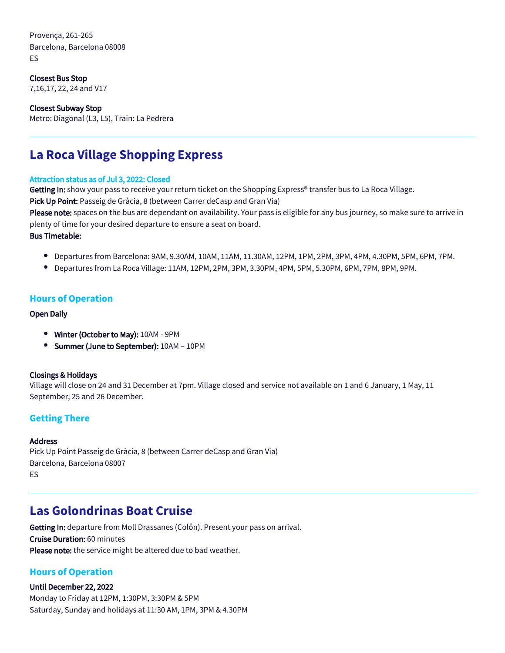Provença, 261-265 Barcelona, Barcelona 08008 ES

Closest Bus Stop 7,16,17, 22, 24 and V17

Closest Subway Stop Metro: Diagonal (L3, L5), Train: La Pedrera

# **La Roca Village Shopping Express**

#### Attraction status as of Jul 3, 2022: Closed

Getting In: show your pass to receive your return ticket on the Shopping Express® transfer bus to La Roca Village.

Pick Up Point: Passeig de Gràcia, 8 (between Carrer deCasp and Gran Via)

Please note: spaces on the bus are dependant on availability. Your pass is eligible for any bus journey, so make sure to arrive in plenty of time for your desired departure to ensure a seat on board.

#### Bus Timetable:

- Departures from Barcelona: 9AM, 9.30AM, 10AM, 11AM, 11.30AM, 12PM, 1PM, 2PM, 3PM, 4PM, 4.30PM, 5PM, 6PM, 7PM.
- $\bullet$  Departures from La Roca Village: 11AM, 12PM, 2PM, 3PM, 3.30PM, 4PM, 5PM, 5.30PM, 6PM, 7PM, 8PM, 9PM.

#### **Hours of Operation**

#### Open Daily

- Winter (October to May): 10AM 9PM
- Summer (June to September): 10AM 10PM

#### Closings & Holidays

Village will close on 24 and 31 December at 7pm. Village closed and service not available on 1 and 6 January, 1 May, 11 September, 25 and 26 December.

### **Getting There**

#### Address

Pick Up Point Passeig de Gràcia, 8 (between Carrer deCasp and Gran Via) Barcelona, Barcelona 08007 ES

# **Las Golondrinas Boat Cruise**

Getting In: departure from Moll Drassanes (Colón). Present your pass on arrival. Cruise Duration: 60 minutes Please note: the service might be altered due to bad weather.

### **Hours of Operation**

#### Until December 22, 2022

Monday to Friday at 12PM, 1:30PM, 3:30PM & 5PM Saturday, Sunday and holidays at 11:30 AM, 1PM, 3PM & 4.30PM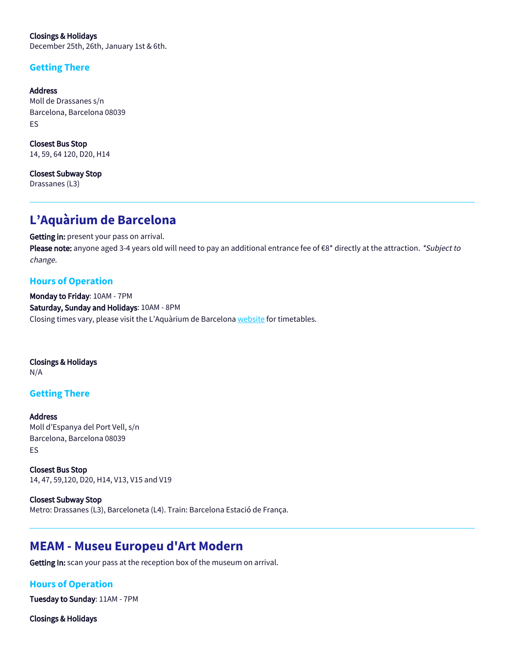Closings & Holidays December 25th, 26th, January 1st & 6th.

## **Getting There**

Address Moll de Drassanes s/n Barcelona, Barcelona 08039 ES

Closest Bus Stop 14, 59, 64 120, D20, H14

Closest Subway Stop Drassanes (L3)

# **L'Aquàrium de Barcelona**

Getting in: present your pass on arrival. Please note: anyone aged 3-4 years old will need to pay an additional entrance fee of €8\* directly at the attraction. \*Subject to change.

## **Hours of Operation**

Monday to Friday: 10AM - 7PM Saturday, Sunday and Holidays: 10AM - 8PM Closing times vary, please visit the L'Aquàrium de Barcelona [website](https://www.aquariumbcn.com/en/plan-your-visit/schedules-and-prices/) for timetables.

Closings & Holidays N/A

## **Getting There**

Address Moll d'Espanya del Port Vell, s/n Barcelona, Barcelona 08039 ES

Closest Bus Stop 14, 47, 59,120, D20, H14, V13, V15 and V19

Closest Subway Stop Metro: Drassanes (L3), Barceloneta (L4). Train: Barcelona Estació de França.

# **MEAM - Museu Europeu d'Art Modern**

Getting In: scan your pass at the reception box of the museum on arrival.

## **Hours of Operation**

Tuesday to Sunday: 11AM - 7PM

Closings & Holidays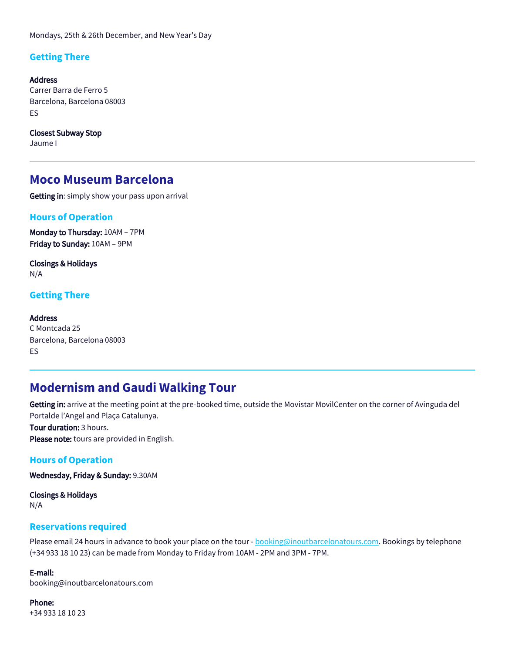Mondays, 25th & 26th December, and New Year's Day

## **Getting There**

Address Carrer Barra de Ferro 5 Barcelona, Barcelona 08003 ES

Closest Subway Stop Jaume I

## **Moco Museum Barcelona**

Getting in: simply show your pass upon arrival

#### **Hours of Operation**

Monday to Thursday: 10AM – 7PM Friday to Sunday: 10AM – 9PM

Closings & Holidays N/A

#### **Getting There**

#### Address

C Montcada 25 Barcelona, Barcelona 08003 ES

## **Modernism and Gaudi Walking Tour**

Getting in: arrive at the meeting point at the pre-booked time, outside the Movistar MovilCenter on the corner of Avinguda del Portalde l'Angel and Plaça Catalunya. Tour duration: 3 hours.

Please note: tours are provided in English.

#### **Hours of Operation**

Wednesday, Friday & Sunday: 9.30AM

Closings & Holidays N/A

#### **Reservations required**

Please email 24 hours in advance to book your place on the tour - **booking@inoutbarcelonatours.com**. Bookings by telephone (+34 933 18 10 23) can be made from Monday to Friday from 10AM - 2PM and 3PM - 7PM.

E-mail:

booking@inoutbarcelonatours.com

#### Phone:

+34 933 18 10 23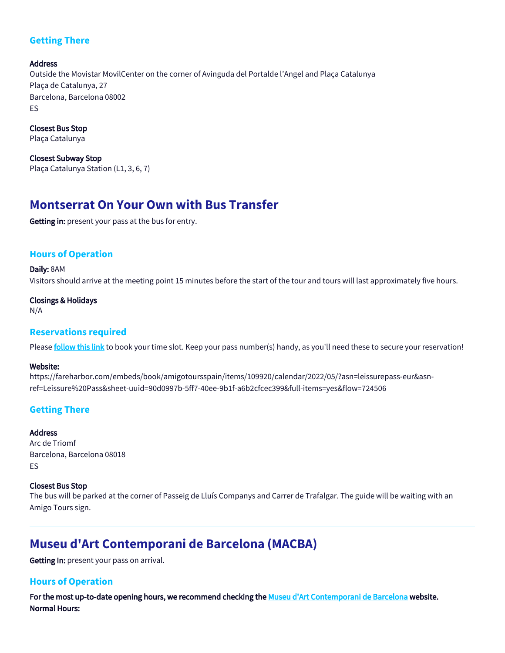## **Getting There**

Address Outside the Movistar MovilCenter on the corner of Avinguda del Portalde l'Angel and Plaça Catalunya Plaça de Catalunya, 27 Barcelona, Barcelona 08002 ES

Closest Bus Stop Plaça Catalunya

Closest Subway Stop Plaça Catalunya Station (L1, 3, 6, 7)

# **Montserrat On Your Own with Bus Transfer**

Getting in: present your pass at the bus for entry.

## **Hours of Operation**

Daily: 8AM Visitors should arrive at the meeting point 15 minutes before the start of the tour and tours will last approximately five hours.

#### Closings & Holidays

N/A

### **Reservations required**

Please [follow this link](https://fareharbor.com/embeds/book/amigotoursspain/items/109920/calendar/2022/05/?asn=leissurepass-eur&asn-ref=Leissure%20Pass&sheet-uuid=90d0997b-5ff7-40ee-9b1f-a6b2cfcec399&full-items=yes&flow=724506) to book your time slot. Keep your pass number(s) handy, as you'll need these to secure your reservation!

#### Website:

https://fareharbor.com/embeds/book/amigotoursspain/items/109920/calendar/2022/05/?asn=leissurepass-eur&asnref=Leissure%20Pass&sheet-uuid=90d0997b-5ff7-40ee-9b1f-a6b2cfcec399&full-items=yes&flow=724506

### **Getting There**

#### **Address**

Arc de Triomf Barcelona, Barcelona 08018 ES

#### Closest Bus Stop

The bus will be parked at the corner of Passeig de Lluís Companys and Carrer de Trafalgar. The guide will be waiting with an Amigo Tours sign.

# **Museu d'Art Contemporani de Barcelona (MACBA)**

Getting In: present your pass on arrival.

### **Hours of Operation**

For the most up-to-date opening hours, we recommend checking the [Museu d'Art Contemporani de Barcelona](https://www.macba.cat/en/visit) website. Normal Hours: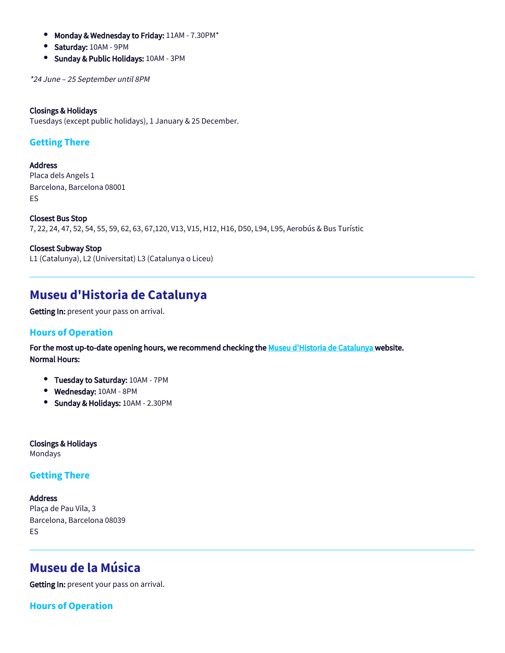- $\bullet$ Monday & Wednesday to Friday: 11AM - 7.30PM\*
- $\bullet$ Saturday: 10AM - 9PM
- Sunday & Public Holidays: 10AM 3PM

\*24 June – 25 September until 8PM

#### Closings & Holidays

Tuesdays (except public holidays), 1 January & 25 December.

## **Getting There**

**Address** Placa dels Angels 1 Barcelona, Barcelona 08001 ES

Closest Bus Stop 7, 22, 24, 47, 52, 54, 55, 59, 62, 63, 67,120, V13, V15, H12, H16, D50, L94, L95, Aerobús & Bus Turístic

Closest Subway Stop L1 (Catalunya), L2 (Universitat) L3 (Catalunya o Liceu)

# **Museu d'Historia de Catalunya**

Getting In: present your pass on arrival.

### **Hours of Operation**

For the most up-to-date opening hours, we recommend checking the [Museu d'Historia de Catalunya w](https://www.mhcat.cat/)ebsite. Normal Hours:

- **Tuesday to Saturday: 10AM 7PM**
- Wednesday: 10AM 8PM
- Sunday & Holidays: 10AM 2.30PM

Closings & Holidays Mondays

### **Getting There**

Address Plaça de Pau Vila, 3 Barcelona, Barcelona 08039 ES

# **Museu de la Música**

Getting In: present your pass on arrival.

**Hours of Operation**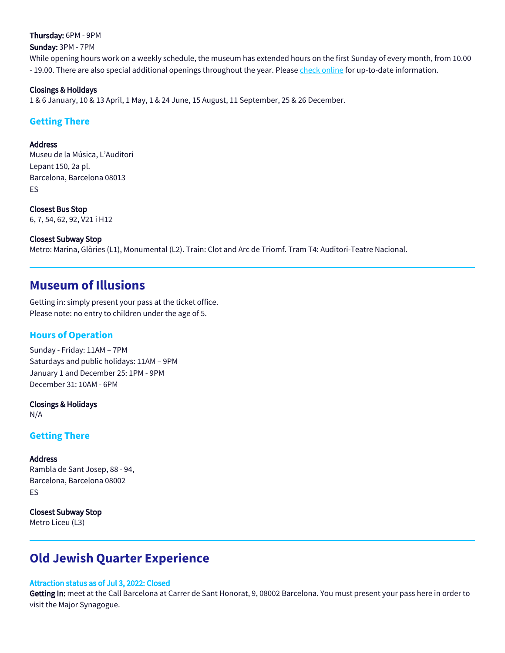Thursday: 6PM - 9PM

Sunday: 3PM - 7PM

While opening hours work on a weekly schedule, the museum has extended hours on the first Sunday of every month, from 10.00 - 19.00. There are also special additional openings throughout the year. Please [check online](http://ajuntament.barcelona.cat/museumusica/en/opening-hours-and-prices) for up-to-date information.

#### Closings & Holidays

1 & 6 January, 10 & 13 April, 1 May, 1 & 24 June, 15 August, 11 September, 25 & 26 December.

## **Getting There**

#### Address

Museu de la Música, L'Auditori Lepant 150, 2a pl. Barcelona, Barcelona 08013 ES

Closest Bus Stop 6, 7, 54, 62, 92, V21 i H12

#### Closest Subway Stop

Metro: Marina, Glòries (L1), Monumental (L2). Train: Clot and Arc de Triomf. Tram T4: Auditori-Teatre Nacional.

## **Museum of Illusions**

Getting in: simply present your pass at the ticket office. Please note: no entry to children under the age of 5.

## **Hours of Operation**

Sunday - Friday: 11AM – 7PM Saturdays and public holidays: 11AM – 9PM January 1 and December 25: 1PM - 9PM December 31: 10AM - 6PM

Closings & Holidays N/A

### **Getting There**

#### Address

Rambla de Sant Josep, 88 - 94, Barcelona, Barcelona 08002 ES

Closest Subway Stop Metro Liceu (L3)

# **Old Jewish Quarter Experience**

#### Attraction status as of Jul 3, 2022: Closed

Getting In: meet at the Call Barcelona at Carrer de Sant Honorat, 9, 08002 Barcelona. You must present your pass here in order to visit the Major Synagogue.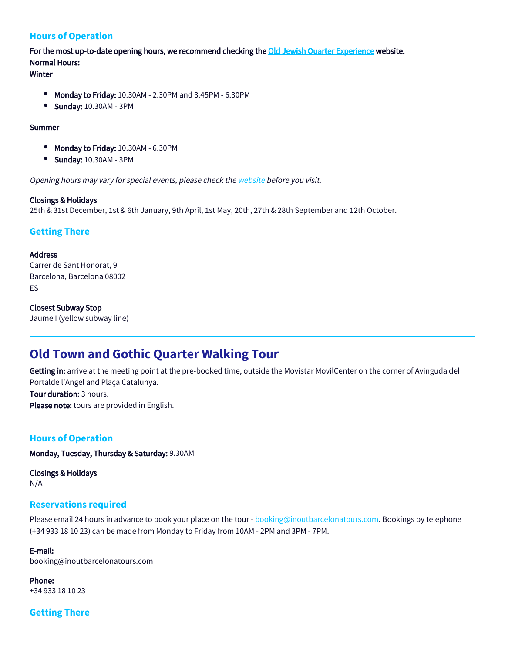## **Hours of Operation**

For the most up-to-date opening hours, we recommend checking the [Old Jewish Quarter Experience](https://www.sinagogamayor.com/en/home) website. Normal Hours:

## Winter

- $\bullet$ Monday to Friday: 10.30AM - 2.30PM and 3.45PM - 6.30PM
- $\bullet$ Sunday: 10.30AM - 3PM

#### Summer

- $\bullet$ Monday to Friday: 10.30AM - 6.30PM
- $\bullet$ Sunday: 10.30AM - 3PM

Opening hours may vary for special events, please check the [website](https://www.sinagogamayor.com/en/home) before you visit.

#### Closings & Holidays

25th & 31st December, 1st & 6th January, 9th April, 1st May, 20th, 27th & 28th September and 12th October.

## **Getting There**

#### Address

Carrer de Sant Honorat, 9 Barcelona, Barcelona 08002 ES

#### Closest Subway Stop

Jaume I (yellow subway line)

# **Old Town and Gothic Quarter Walking Tour**

Getting in: arrive at the meeting point at the pre-booked time, outside the Movistar MovilCenter on the corner of Avinguda del Portalde l'Angel and Plaça Catalunya. Tour duration: 3 hours.

Please note: tours are provided in English.

### **Hours of Operation**

Monday, Tuesday, Thursday & Saturday: 9.30AM

Closings & Holidays N/A

#### **Reservations required**

Please email 24 hours in advance to book your place on the tour - **booking@inoutbarcelonatours.com**. Bookings by telephone (+34 933 18 10 23) can be made from Monday to Friday from 10AM - 2PM and 3PM - 7PM.

#### E-mail:

booking@inoutbarcelonatours.com

Phone: +34 933 18 10 23

### **Getting There**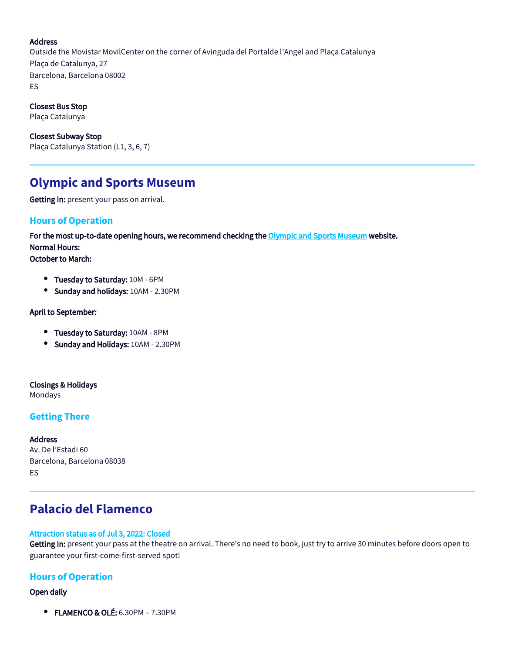#### Address

Outside the Movistar MovilCenter on the corner of Avinguda del Portalde l'Angel and Plaça Catalunya Plaça de Catalunya, 27 Barcelona, Barcelona 08002 ES

Closest Bus Stop

Plaça Catalunya

Closest Subway Stop Plaça Catalunya Station (L1, 3, 6, 7)

# **Olympic and Sports Museum**

Getting In: present your pass on arrival.

### **Hours of Operation**

For the most up-to-date opening hours, we recommend checking the [Olympic and Sports Museum](https://www.museuolimpicbcn.cat/en/) website. Normal Hours:

October to March:

- **Tuesday to Saturday: 10M 6PM**
- **Sunday and holidays: 10AM 2.30PM**

April to September:

- **Tuesday to Saturday: 10AM 8PM**
- **Sunday and Holidays: 10AM 2.30PM**

Closings & Holidays

Mondays

### **Getting There**

#### Address

Av. De l'Estadi 60 Barcelona, Barcelona 08038 ES

# **Palacio del Flamenco**

#### Attraction status as of Jul 3, 2022: Closed

Getting In: present your pass at the theatre on arrival. There's no need to book, just try to arrive 30 minutes before doors open to guarantee your first-come-first-served spot!

### **Hours of Operation**

Open daily

**• FLAMENCO & OLÉ: 6.30PM - 7.30PM**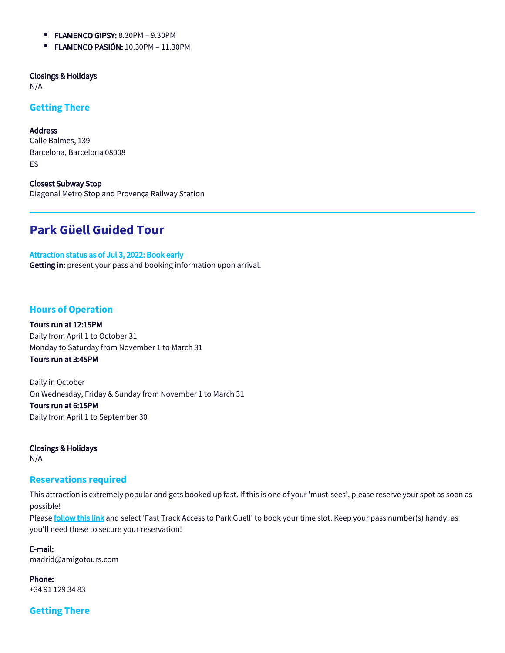- $\bullet$ FLAMENCO GIPSY: 8.30PM – 9.30PM
- **FLAMENCO PASIÓN: 10.30PM 11.30PM**

Closings & Holidays

N/A

### **Getting There**

Address Calle Balmes, 139 Barcelona, Barcelona 08008 ES

Closest Subway Stop Diagonal Metro Stop and Provença Railway Station

# **Park Güell Guided Tour**

Attraction status as of Jul 3, 2022: Book early Getting in: present your pass and booking information upon arrival.

## **Hours of Operation**

Tours run at 12:15PM Daily from April 1 to October 31 Monday to Saturday from November 1 to March 31 Tours run at 3:45PM

Daily in October On Wednesday, Friday & Sunday from November 1 to March 31 Tours run at 6:15PM Daily from April 1 to September 30

Closings & Holidays N/A

#### **Reservations required**

This attraction is extremely popular and gets booked up fast. If this is one of your 'must-sees', please reserve your spot as soon as possible!

Please [follow this link](https://fareharbor.com/embeds/book/amigotoursspain/items/109960/calendar/2022/05/?asn=leissurepass-eur&asn-ref=Leissure%20Pass&sheet-uuid=90d0997b-5ff7-40ee-9b1f-a6b2cfcec399&full-items=yes&flow=724506) and select 'Fast Track Access to Park Guell' to book your time slot. Keep your pass number(s) handy, as you'll need these to secure your reservation!

E-mail: madrid@amigotours.com

Phone: +34 91 129 34 83

**Getting There**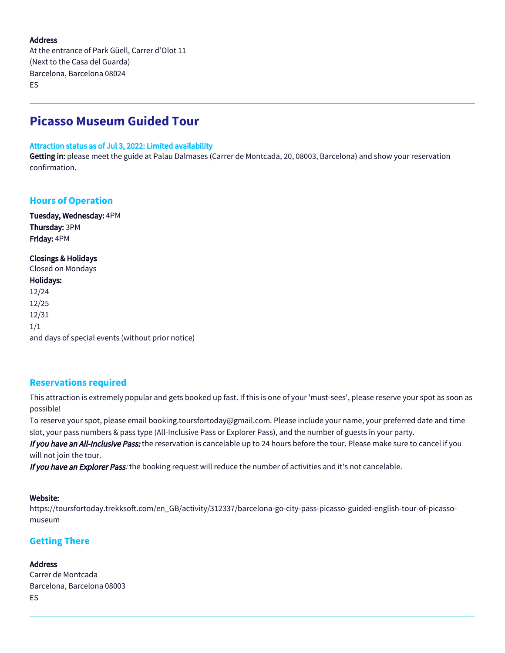#### Address

At the entrance of Park Güell, Carrer d'Olot 11 (Next to the Casa del Guarda) Barcelona, Barcelona 08024 ES

# **Picasso Museum Guided Tour**

#### Attraction status as of Jul 3, 2022: Limited availability

Getting in: please meet the guide at Palau Dalmases (Carrer de Montcada, 20, 08003, Barcelona) and show your reservation confirmation.

## **Hours of Operation**

Tuesday, Wednesday: 4PM Thursday: 3PM Friday: 4PM

#### Closings & Holidays

| Closed on Mondays                                 |
|---------------------------------------------------|
| Holidays:                                         |
| 12/24                                             |
| 12/25                                             |
| 12/31                                             |
| 1/1                                               |
| and days of special events (without prior notice) |

### **Reservations required**

This attraction is extremely popular and gets booked up fast. If this is one of your 'must-sees', please reserve your spot as soon as possible!

To reserve your spot, please email booking.toursfortoday@gmail.com. Please include your name, your preferred date and time slot, your pass numbers & pass type (All-Inclusive Pass or Explorer Pass), and the number of guests in your party.

If you have an All-Inclusive Pass: the reservation is cancelable up to 24 hours before the tour. Please make sure to cancel if you will not join the tour.

If you have an Explorer Pass: the booking request will reduce the number of activities and it's not cancelable.

#### Website:

https://toursfortoday.trekksoft.com/en\_GB/activity/312337/barcelona-go-city-pass-picasso-guided-english-tour-of-picassomuseum

### **Getting There**

#### **Address**

Carrer de Montcada Barcelona, Barcelona 08003 ES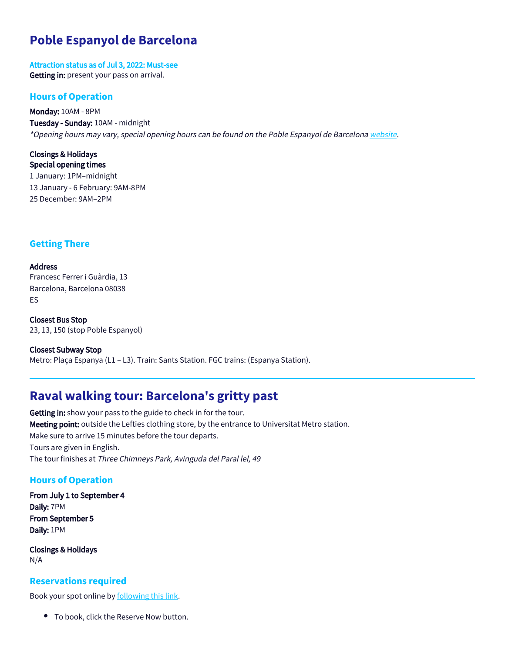# **Poble Espanyol de Barcelona**

Attraction status as of Jul 3, 2022: Must-see Getting in: present your pass on arrival.

#### **Hours of Operation**

Monday: 10AM - 8PM Tuesday - Sunday: 10AM - midnight \*Opening hours may vary, special opening hours can be found on the Poble Espanyol de Barcelona [website](https://www.poble-espanyol.com/en/plan-your-visit/).

Closings & Holidays Special opening times 1 January: 1PM–midnight 13 January - 6 February: 9AM-8PM 25 December: 9AM–2PM

## **Getting There**

Address Francesc Ferrer i Guàrdia, 13 Barcelona, Barcelona 08038 ES

Closest Bus Stop 23, 13, 150 (stop Poble Espanyol)

Closest Subway Stop Metro: Plaça Espanya (L1 – L3). Train: Sants Station. FGC trains: (Espanya Station).

# **Raval walking tour: Barcelona's gritty past**

Getting in: show your pass to the guide to check in for the tour. Meeting point: outside the Lefties clothing store, by the entrance to Universitat Metro station. Make sure to arrive 15 minutes before the tour departs. Tours are given in English. The tour finishes at Three Chimneys Park, Avinguda del Paral lel, 49

### **Hours of Operation**

From July 1 to September 4 Daily: 7PM From September 5 Daily: 1PM

Closings & Holidays N/A

#### **Reservations required**

Book your spot online by **following this link**.

To book, click the Reserve Now button.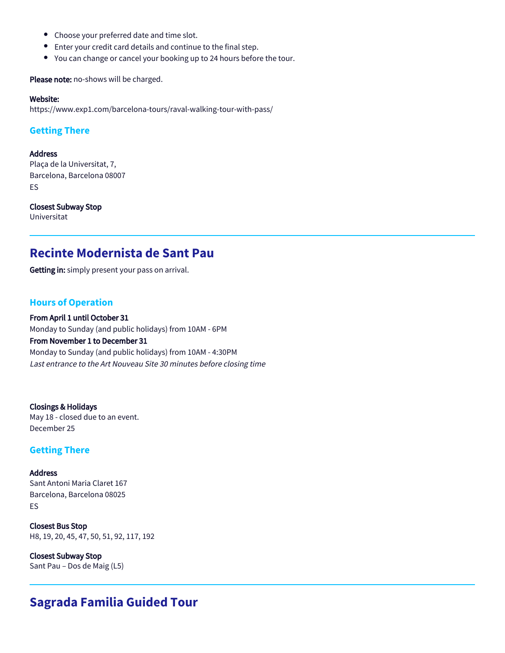- $\bullet$ Choose your preferred date and time slot.
- $\bullet$ Enter your credit card details and continue to the final step.
- You can change or cancel your booking up to 24 hours before the tour.

Please note: no-shows will be charged.

#### Website:

https://www.exp1.com/barcelona-tours/raval-walking-tour-with-pass/

## **Getting There**

#### Address

Plaça de la Universitat, 7, Barcelona, Barcelona 08007 ES

#### Closest Subway Stop

Universitat

# **Recinte Modernista de Sant Pau**

Getting in: simply present your pass on arrival.

### **Hours of Operation**

From April 1 until October 31 Monday to Sunday (and public holidays) from 10AM - 6PM From November 1 to December 31 Monday to Sunday (and public holidays) from 10AM - 4:30PM Last entrance to the Art Nouveau Site 30 minutes before closing time

Closings & Holidays May 18 - closed due to an event. December 25

### **Getting There**

### **Address** Sant Antoni Maria Claret 167 Barcelona, Barcelona 08025 ES

Closest Bus Stop H8, 19, 20, 45, 47, 50, 51, 92, 117, 192

Closest Subway Stop Sant Pau – Dos de Maig (L5)

# **Sagrada Familia Guided Tour**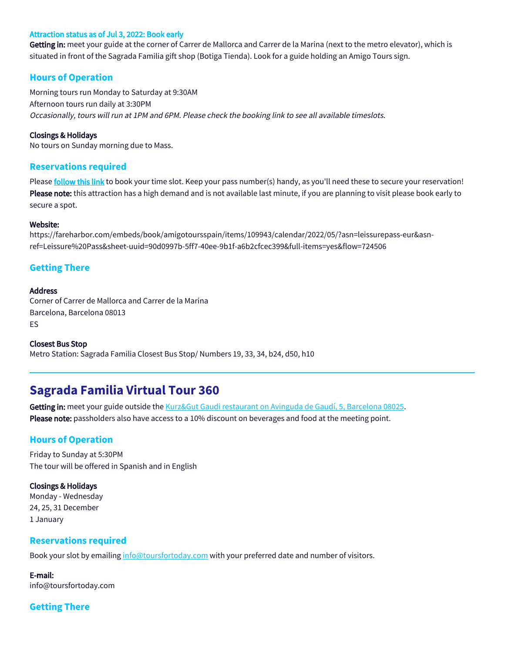#### Attraction status as of Jul 3, 2022: Book early

Getting in: meet your guide at the corner of Carrer de Mallorca and Carrer de la Marina (next to the metro elevator), which is situated in front of the Sagrada Familia gift shop (Botiga Tienda). Look for a guide holding an Amigo Tours sign.

#### **Hours of Operation**

Morning tours run Monday to Saturday at 9:30AM Afternoon tours run daily at 3:30PM Occasionally, tours will run at 1PM and 6PM. Please check the booking link to see all available timeslots.

#### Closings & Holidays

No tours on Sunday morning due to Mass.

#### **Reservations required**

Please [follow this link](https://fareharbor.com/embeds/book/amigotoursspain/items/387823/calendar/2022/06/?flow=724506&asn=leissurepass-eur&asn-ref=Leissure%20Pass&sheet-uuid=90d0997b-5ff7-40ee-9b1f-a6b2cfcec399&full-items=yes) to book your time slot. Keep your pass number(s) handy, as you'll need these to secure your reservation! Please note: this attraction has a high demand and is not available last minute, if you are planning to visit please book early to secure a spot.

#### Website:

https://fareharbor.com/embeds/book/amigotoursspain/items/109943/calendar/2022/05/?asn=leissurepass-eur&asnref=Leissure%20Pass&sheet-uuid=90d0997b-5ff7-40ee-9b1f-a6b2cfcec399&full-items=yes&flow=724506

#### **Getting There**

#### Address

Corner of Carrer de Mallorca and Carrer de la Marina Barcelona, Barcelona 08013 ES

Closest Bus Stop Metro Station: Sagrada Familia Closest Bus Stop/ Numbers 19, 33, 34, b24, d50, h10

# **Sagrada Familia Virtual Tour 360**

Getting in: meet your guide outside the [Kurz&Gut Gaudi restaurant on Avinguda de Gaudí, 5, Barcelona 08025](https://www.google.com/maps/place/Kurz%26Gut+Gaudi/@41.4051466,2.1729951,292m/data=!3m2!1e3!4b1!4m5!3m4!1s0x12a4a2c34de95267:0x30e14770f568e54c!8m2!3d41.4051466!4d2.1742299). Please note: passholders also have access to a 10% discount on beverages and food at the meeting point.

#### **Hours of Operation**

Friday to Sunday at 5:30PM The tour will be offered in Spanish and in English

#### Closings & Holidays

Monday - Wednesday 24, 25, 31 December 1 January

#### **Reservations required**

Book your slot by emailing [info@toursfortoday.com](mailto:info@toursfortoday.com) with your preferred date and number of visitors.

E-mail: info@toursfortoday.com

### **Getting There**